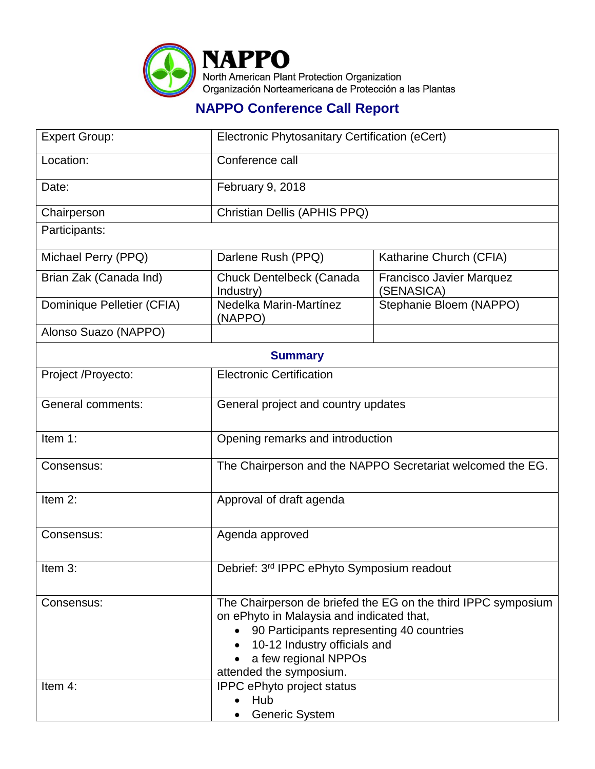

## **NAPPO Conference Call Report**

| <b>Expert Group:</b>       | Electronic Phytosanitary Certification (eCert)                                                                                                                                                                                                                           |                                               |  |  |
|----------------------------|--------------------------------------------------------------------------------------------------------------------------------------------------------------------------------------------------------------------------------------------------------------------------|-----------------------------------------------|--|--|
| Location:                  | Conference call                                                                                                                                                                                                                                                          |                                               |  |  |
| Date:                      | February 9, 2018                                                                                                                                                                                                                                                         |                                               |  |  |
| Chairperson                | Christian Dellis (APHIS PPQ)                                                                                                                                                                                                                                             |                                               |  |  |
| Participants:              |                                                                                                                                                                                                                                                                          |                                               |  |  |
| Michael Perry (PPQ)        | Darlene Rush (PPQ)                                                                                                                                                                                                                                                       | Katharine Church (CFIA)                       |  |  |
| Brian Zak (Canada Ind)     | Chuck Dentelbeck (Canada<br>Industry)                                                                                                                                                                                                                                    | <b>Francisco Javier Marquez</b><br>(SENASICA) |  |  |
| Dominique Pelletier (CFIA) | Nedelka Marin-Martínez<br>(NAPPO)                                                                                                                                                                                                                                        | Stephanie Bloem (NAPPO)                       |  |  |
| Alonso Suazo (NAPPO)       |                                                                                                                                                                                                                                                                          |                                               |  |  |
| <b>Summary</b>             |                                                                                                                                                                                                                                                                          |                                               |  |  |
| Project /Proyecto:         | <b>Electronic Certification</b>                                                                                                                                                                                                                                          |                                               |  |  |
| <b>General comments:</b>   | General project and country updates                                                                                                                                                                                                                                      |                                               |  |  |
| Item 1:                    | Opening remarks and introduction                                                                                                                                                                                                                                         |                                               |  |  |
| Consensus:                 | The Chairperson and the NAPPO Secretariat welcomed the EG.                                                                                                                                                                                                               |                                               |  |  |
| Item 2:                    | Approval of draft agenda                                                                                                                                                                                                                                                 |                                               |  |  |
| Consensus:                 | Agenda approved                                                                                                                                                                                                                                                          |                                               |  |  |
| Item 3:                    | Debrief: 3 <sup>rd</sup> IPPC ePhyto Symposium readout                                                                                                                                                                                                                   |                                               |  |  |
| Consensus:<br>Item 4:      | The Chairperson de briefed the EG on the third IPPC symposium<br>on ePhyto in Malaysia and indicated that,<br>90 Participants representing 40 countries<br>10-12 Industry officials and<br>a few regional NPPOs<br>attended the symposium.<br>IPPC ePhyto project status |                                               |  |  |
|                            | Hub<br><b>Generic System</b>                                                                                                                                                                                                                                             |                                               |  |  |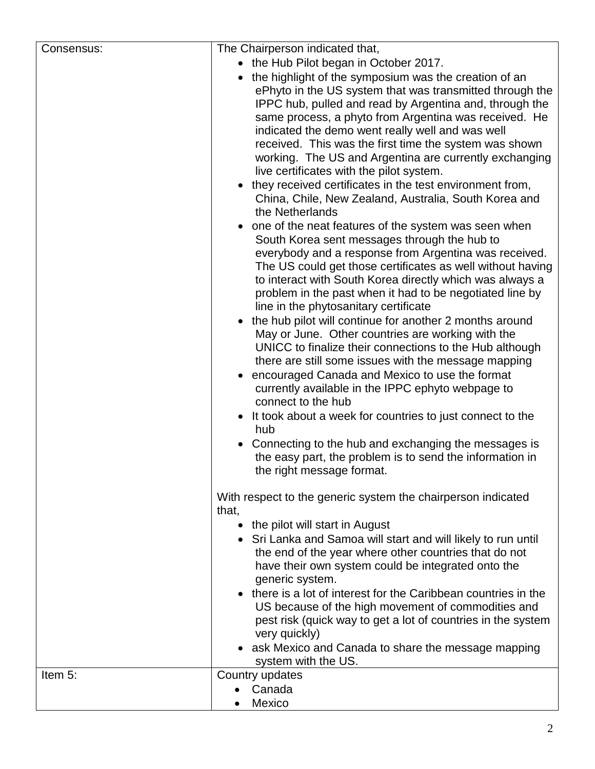| Consensus:                                                    | The Chairperson indicated that,                                                                                                        |  |  |
|---------------------------------------------------------------|----------------------------------------------------------------------------------------------------------------------------------------|--|--|
|                                                               | • the Hub Pilot began in October 2017.                                                                                                 |  |  |
|                                                               | the highlight of the symposium was the creation of an                                                                                  |  |  |
|                                                               | ePhyto in the US system that was transmitted through the                                                                               |  |  |
|                                                               | IPPC hub, pulled and read by Argentina and, through the                                                                                |  |  |
|                                                               | same process, a phyto from Argentina was received. He                                                                                  |  |  |
|                                                               | indicated the demo went really well and was well                                                                                       |  |  |
|                                                               | received. This was the first time the system was shown                                                                                 |  |  |
|                                                               | working. The US and Argentina are currently exchanging<br>live certificates with the pilot system.                                     |  |  |
|                                                               | they received certificates in the test environment from,<br>China, Chile, New Zealand, Australia, South Korea and<br>the Netherlands   |  |  |
|                                                               |                                                                                                                                        |  |  |
|                                                               | one of the neat features of the system was seen when                                                                                   |  |  |
|                                                               | South Korea sent messages through the hub to<br>everybody and a response from Argentina was received.                                  |  |  |
|                                                               |                                                                                                                                        |  |  |
|                                                               | The US could get those certificates as well without having                                                                             |  |  |
|                                                               | to interact with South Korea directly which was always a                                                                               |  |  |
|                                                               | problem in the past when it had to be negotiated line by                                                                               |  |  |
|                                                               | line in the phytosanitary certificate<br>• the hub pilot will continue for another 2 months around                                     |  |  |
|                                                               | May or June. Other countries are working with the                                                                                      |  |  |
|                                                               | UNICC to finalize their connections to the Hub although                                                                                |  |  |
|                                                               | there are still some issues with the message mapping                                                                                   |  |  |
|                                                               | encouraged Canada and Mexico to use the format                                                                                         |  |  |
|                                                               | currently available in the IPPC ephyto webpage to                                                                                      |  |  |
|                                                               | connect to the hub                                                                                                                     |  |  |
|                                                               | It took about a week for countries to just connect to the                                                                              |  |  |
|                                                               | hub                                                                                                                                    |  |  |
|                                                               | Connecting to the hub and exchanging the messages is                                                                                   |  |  |
|                                                               | the easy part, the problem is to send the information in                                                                               |  |  |
|                                                               | the right message format.<br>With respect to the generic system the chairperson indicated<br>that,<br>• the pilot will start in August |  |  |
|                                                               |                                                                                                                                        |  |  |
|                                                               |                                                                                                                                        |  |  |
| • Sri Lanka and Samoa will start and will likely to run until |                                                                                                                                        |  |  |
|                                                               | the end of the year where other countries that do not                                                                                  |  |  |
|                                                               | have their own system could be integrated onto the                                                                                     |  |  |
|                                                               | generic system.                                                                                                                        |  |  |
|                                                               | there is a lot of interest for the Caribbean countries in the                                                                          |  |  |
|                                                               | US because of the high movement of commodities and<br>pest risk (quick way to get a lot of countries in the system                     |  |  |
|                                                               | very quickly)                                                                                                                          |  |  |
|                                                               | ask Mexico and Canada to share the message mapping                                                                                     |  |  |
|                                                               | system with the US.                                                                                                                    |  |  |
| Item 5:                                                       | Country updates                                                                                                                        |  |  |
|                                                               | Canada                                                                                                                                 |  |  |
|                                                               | Mexico                                                                                                                                 |  |  |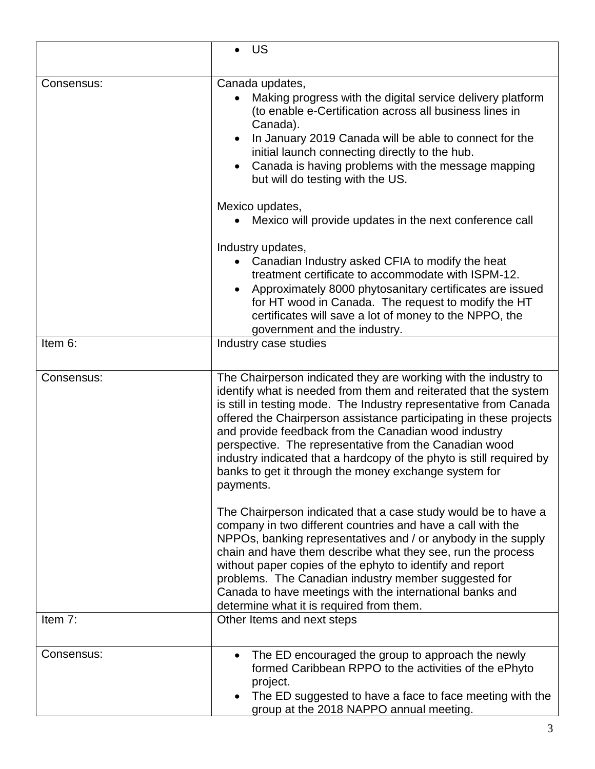|            | US                                                                                                                                                                                                                                                                                                                                                                                                                                                                                                                                             |  |
|------------|------------------------------------------------------------------------------------------------------------------------------------------------------------------------------------------------------------------------------------------------------------------------------------------------------------------------------------------------------------------------------------------------------------------------------------------------------------------------------------------------------------------------------------------------|--|
| Consensus: | Canada updates,<br>Making progress with the digital service delivery platform<br>(to enable e-Certification across all business lines in<br>Canada).<br>In January 2019 Canada will be able to connect for the<br>$\bullet$<br>initial launch connecting directly to the hub.<br>Canada is having problems with the message mapping<br>$\bullet$<br>but will do testing with the US.                                                                                                                                                           |  |
|            | Mexico updates,<br>Mexico will provide updates in the next conference call                                                                                                                                                                                                                                                                                                                                                                                                                                                                     |  |
| Item 6:    | Industry updates,<br>Canadian Industry asked CFIA to modify the heat<br>treatment certificate to accommodate with ISPM-12.<br>Approximately 8000 phytosanitary certificates are issued<br>$\bullet$<br>for HT wood in Canada. The request to modify the HT<br>certificates will save a lot of money to the NPPO, the<br>government and the industry.<br>Industry case studies                                                                                                                                                                  |  |
|            |                                                                                                                                                                                                                                                                                                                                                                                                                                                                                                                                                |  |
| Consensus: | The Chairperson indicated they are working with the industry to<br>identify what is needed from them and reiterated that the system<br>is still in testing mode. The Industry representative from Canada<br>offered the Chairperson assistance participating in these projects<br>and provide feedback from the Canadian wood industry<br>perspective. The representative from the Canadian wood<br>industry indicated that a hardcopy of the phyto is still required by<br>banks to get it through the money exchange system for<br>payments. |  |
|            | The Chairperson indicated that a case study would be to have a<br>company in two different countries and have a call with the<br>NPPOs, banking representatives and / or anybody in the supply<br>chain and have them describe what they see, run the process<br>without paper copies of the ephyto to identify and report<br>problems. The Canadian industry member suggested for<br>Canada to have meetings with the international banks and<br>determine what it is required from them.                                                     |  |
| Item 7:    | Other Items and next steps                                                                                                                                                                                                                                                                                                                                                                                                                                                                                                                     |  |
| Consensus: | The ED encouraged the group to approach the newly<br>$\bullet$<br>formed Caribbean RPPO to the activities of the ePhyto<br>project.<br>The ED suggested to have a face to face meeting with the<br>$\bullet$<br>group at the 2018 NAPPO annual meeting.                                                                                                                                                                                                                                                                                        |  |